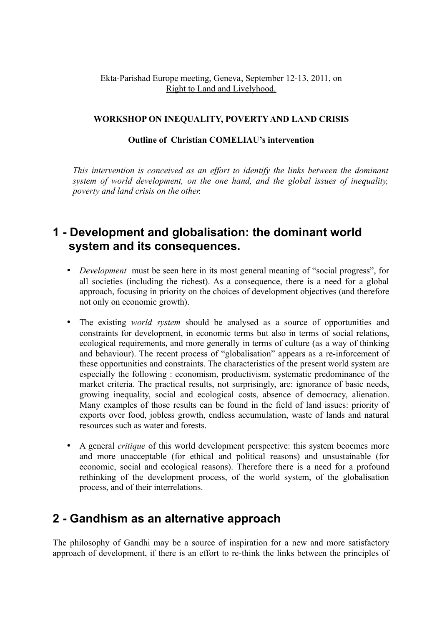### Ekta-Parishad Europe meeting, Geneva, September 12-13, 2011, on Right to Land and Livelyhood.

### **WORKSHOP ON INEQUALITY, POVERTY AND LAND CRISIS**

#### **Outline of Christian COMELIAU's intervention**

*This intervention is conceived as an effort to identify the links between the dominant system of world development, on the one hand, and the global issues of inequality, poverty and land crisis on the other.* 

## **1 - Development and globalisation: the dominant world system and its consequences.**

- *Development* must be seen here in its most general meaning of "social progress", for all societies (including the richest). As a consequence, there is a need for a global approach, focusing in priority on the choices of development objectives (and therefore not only on economic growth).
- The existing *world system* should be analysed as a source of opportunities and constraints for development, in economic terms but also in terms of social relations, ecological requirements, and more generally in terms of culture (as a way of thinking and behaviour). The recent process of "globalisation" appears as a re-inforcement of these opportunities and constraints. The characteristics of the present world system are especially the following : economism, productivism, systematic predominance of the market criteria. The practical results, not surprisingly, are: ignorance of basic needs, growing inequality, social and ecological costs, absence of democracy, alienation. Many examples of those results can be found in the field of land issues: priority of exports over food, jobless growth, endless accumulation, waste of lands and natural resources such as water and forests.
- A general *critique* of this world development perspective: this system beocmes more and more unacceptable (for ethical and political reasons) and unsustainable (for economic, social and ecological reasons). Therefore there is a need for a profound rethinking of the development process, of the world system, of the globalisation process, and of their interrelations.

### **2 - Gandhism as an alternative approach**

The philosophy of Gandhi may be a source of inspiration for a new and more satisfactory approach of development, if there is an effort to re-think the links between the principles of